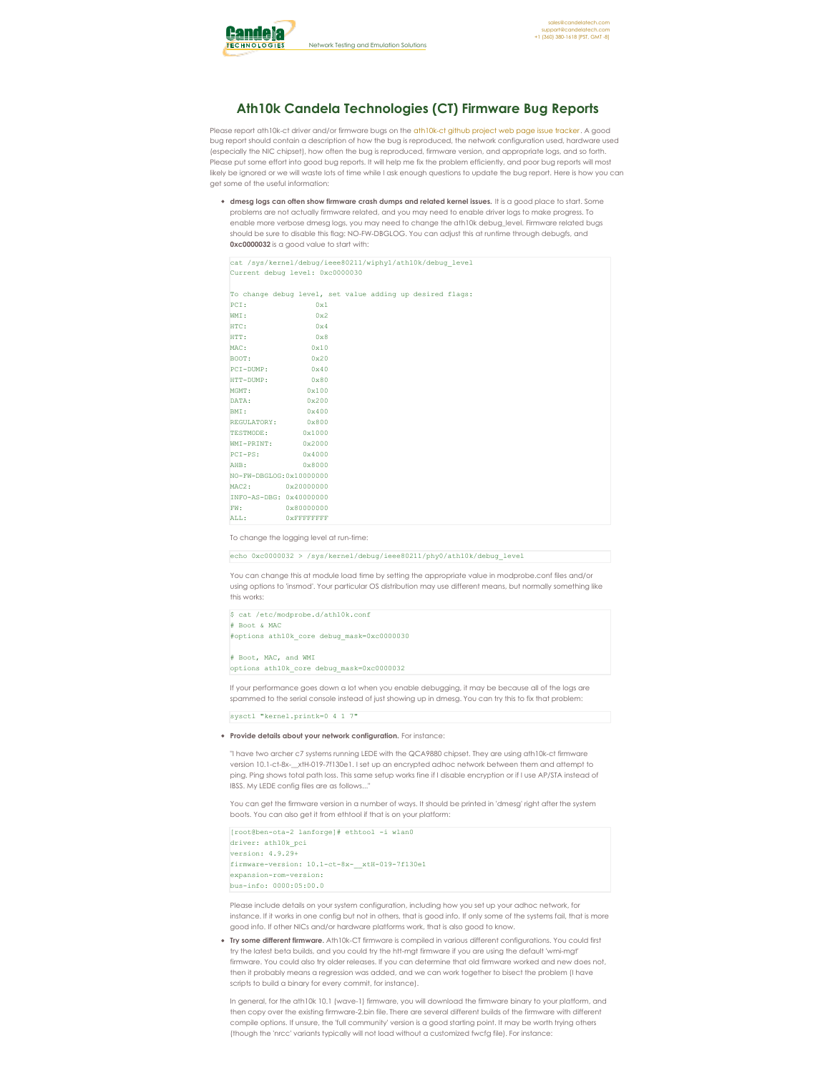

## **Ath10k Candela Technologies (CT) Firmware Bug Reports**

Please report [ath10k-ct](https://github.com/greearb/ath10k-ct) driver and/or firmware bugs on the ath10k-ct github project web page issue tracker. A good bug report should contain a description of how the bug is reproduced, the network configuration used, hardware used (especially the NIC chipset), how often the bug is reproduced, firmware version, and appropriate logs, and so forth. Please put some effort into good bug reports. It will help me fix the problem efficiently, and poor bug reports will most likely be ignored or we will waste lots of time while I ask enough questions to update the bug report. Here is how you can get some of the useful information:

**dmesg logs can often show firmware crash dumps and related kernel issues.** It is a good place to start. Some problems are not actually firmware related, and you may need to enable driver logs to make progress. To enable more verbose dmesg logs, you may need to change the ath10k debug level. Firmware related bugs should be sure to disable this flag: NO-FW-DBGLOG. You can adjust this at runtime through debugfs, and **0xc0000032** is a good value to start with:

cat /sys/kernel/debug/ieee80211/wiphy1/ath10k/debug\_level Current debug level: 0xc0000030

| To change debug level, set value adding up desired flags: |                   |  |  |  |  |
|-----------------------------------------------------------|-------------------|--|--|--|--|
| PCI:                                                      | 0x1               |  |  |  |  |
| WMI:                                                      | 0x2               |  |  |  |  |
| HTC:                                                      | $0\times 4$       |  |  |  |  |
| HTT:                                                      | $0 \times 8$      |  |  |  |  |
| MAC:                                                      | 0x10              |  |  |  |  |
| BOOT:                                                     | 0x20              |  |  |  |  |
| $PCI-DUMP:$                                               | $0 \times 40$     |  |  |  |  |
| HTT-DUMP: 0x80                                            |                   |  |  |  |  |
| MGMT:                                                     | 0x100             |  |  |  |  |
| DATA:                                                     | 0x200             |  |  |  |  |
| BMI:                                                      | 0x400             |  |  |  |  |
| REGULATORY: 0x800                                         |                   |  |  |  |  |
| TESTMODE: 0x1000                                          |                   |  |  |  |  |
| WMI-PRINT: 0x2000                                         |                   |  |  |  |  |
| $PCI-PS:$ $0 \times 4000$                                 |                   |  |  |  |  |
| AHB:                                                      | $0 \times 8000$   |  |  |  |  |
| NO-FW-DBGLOG: 0x10000000                                  |                   |  |  |  |  |
| MAC2: 0x20000000                                          |                   |  |  |  |  |
| INFO-AS-DBG: 0x40000000                                   |                   |  |  |  |  |
| FW:                                                       | 0x80000000        |  |  |  |  |
| ALL:                                                      | <b>OXFFFFFFFF</b> |  |  |  |  |

To change the logging level at run-time:

echo 0xc0000032 > /sys/kernel/debug/ieee80211/phy0/ath10k/debug\_level

You can change this at module load time by setting the appropriate value in modprobe.conf files and/or using options to 'insmod'. Your particular OS distribution may use different means, but normally something like this works:

## \$ cat /etc/modprobe.d/ath10k.conf # Boot & MAC #options ath10k\_core debug\_mask=0xc0000030

# Boot, MAC, and WMI options ath10k\_core debug\_mask=0xc0000032

If your performance goes down a lot when you enable debugging, it may be because all of the logs are spammed to the serial console instead of just showing up in dmesg. You can try this to fix that problem:

sysctl "kernel.printk=0 4 1 7"

## **Provide details about your network configuration.** For instance:

"I have two archer c7 systems running LEDE with the QCA9880 chipset. They are using ath10k-ct firmware version 10.1-ct-8x-\_\_xtH-019-7f130e1. I set up an encrypted adhoc network between them and attempt to ping. Ping shows total path loss. This same setup works fine if I disable encryption or if I use AP/STA instead of IBSS. My LEDE config files are as follows...

You can get the firmware version in a number of ways. It should be printed in 'dmesg' right after the system boots. You can also get it from ethtool if that is on your platform:

[root@ben-ota-2 lanforge]# ethtool -i wlan0 driver: ath10k\_pci version: 4.9.29+ firmware-version: 10.1-ct-8x-\_\_xtH-019-7f130e1 expansion-rom-version: bus-info: 0000:05:00.0

Please include details on your system configuration, including how you set up your adhoc network, for instance. If it works in one config but not in others, that is good info. If only some of the systems fail, that is more good info. If other NICs and/or hardware platforms work, that is also good to know.

**Try some different firmware.** Ath10k-CT firmware is compiled in various different configurations. You could first try the latest beta builds, and you could try the htt-mgt firmware if you are using the default 'wmi-mgt' firmware. You could also try older releases. If you can determine that old firmware worked and new does not, then it probably means a regression was added, and we can work together to bisect the problem (I have scripts to build a binary for every commit, for instance).

In general, for the ath10k 10.1 (wave-1) firmware, you will download the firmware binary to your platform, and then copy over the existing firmware-2.bin file. There are several different builds of the firmware with different compile options. If unsure, the 'full community' version is a good starting point. It may be worth trying others (though the 'nrcc' variants typically will not load without a customized fwcfg file). For instance: